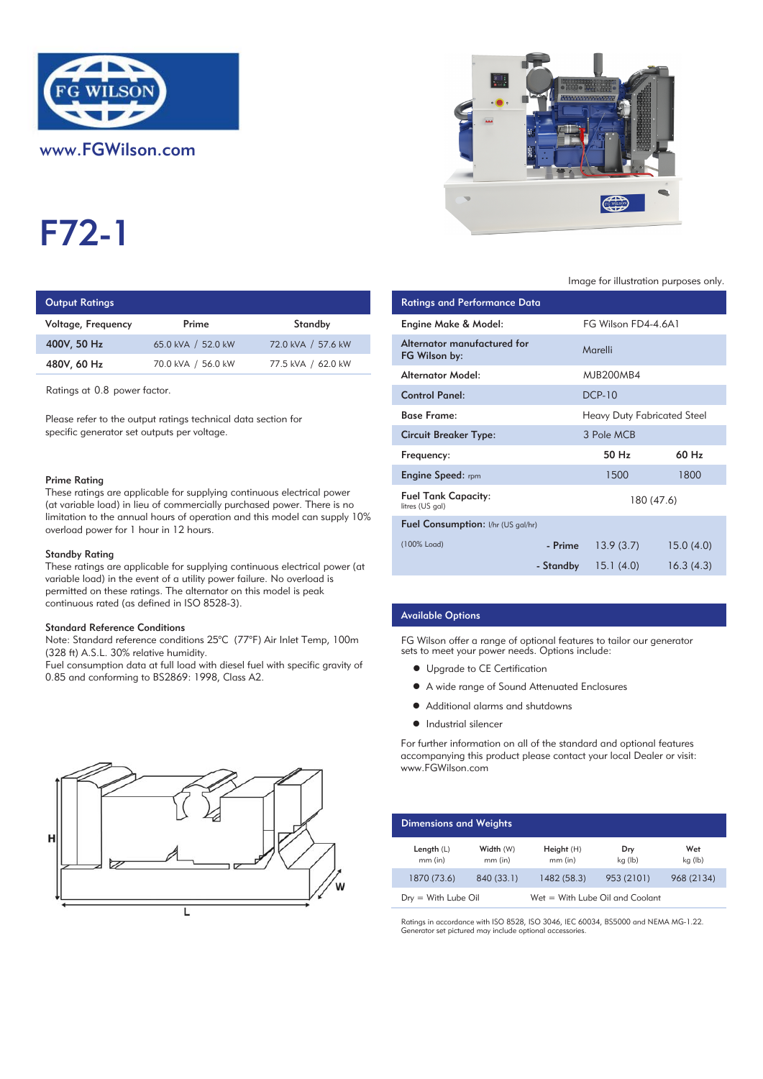

# www.FGWilson.com

# F72-1

## **Output Ratings**

| Voltage, Frequency | Prime              | Standby            | Engine Make & Model:           |
|--------------------|--------------------|--------------------|--------------------------------|
| 400V, 50 Hz        | 65.0 kVA / 52.0 kW | 72.0 kVA / 57.6 kW | Alternator manufactur          |
| 480V, 60 Hz        | 70.0 kVA / 56.0 kW | 77.5 kVA / 62.0 kW | FG Wilson by:                  |
|                    |                    |                    | A la superior A A substitution |

#### Prime Rating

#### Standby Rating

These ratings are applicable for supplying continuous electrical power (at variable load) in the event of a utility power failure. No overload is permitted on these ratings. The alternator on this model is peak continuous rated (as defined in ISO 8528-3).

#### Standard Reference Conditions

Note: Standard reference conditions 25°C (77°F) Air Inlet Temp, 100m (328 ft) A.S.L. 30% relative humidity.

Fuel consumption data at full load with diesel fuel with specific gravity of 0.85 and conforming to BS2869: 1998, Class A2.





#### Image for illustration purposes only.

| <b>Output Ratings</b>                                                                                                                                                                                                                                                    |                                                                                                          |                                                                            | <b>Ratings and Performance Data</b>           |           |                                    |
|--------------------------------------------------------------------------------------------------------------------------------------------------------------------------------------------------------------------------------------------------------------------------|----------------------------------------------------------------------------------------------------------|----------------------------------------------------------------------------|-----------------------------------------------|-----------|------------------------------------|
| Voltage, Frequency                                                                                                                                                                                                                                                       | Prime                                                                                                    | Standby                                                                    | Engine Make & Model:                          |           | FG Wilson FD4-4.6A1                |
| 400V, 50 Hz                                                                                                                                                                                                                                                              | 65.0 kVA / 52.0 kW                                                                                       | 72.0 kVA / 57.6 kW                                                         | Alternator manufactured for<br>FG Wilson by:  |           | Marelli                            |
| 480V, 60 Hz                                                                                                                                                                                                                                                              | 70.0 kVA / 56.0 kW                                                                                       | 77.5 kVA / 62.0 kW                                                         | <b>Alternator Model:</b>                      |           | <b>MJB200MB4</b>                   |
| Ratings at 0.8 power factor.                                                                                                                                                                                                                                             |                                                                                                          |                                                                            | <b>Control Panel:</b>                         |           | <b>DCP-10</b>                      |
| Please refer to the output ratings technical data section for                                                                                                                                                                                                            |                                                                                                          |                                                                            | <b>Base Frame:</b>                            |           | <b>Heavy Duty Fabricated Steel</b> |
| specific generator set outputs per voltage.                                                                                                                                                                                                                              |                                                                                                          |                                                                            | <b>Circuit Breaker Type:</b>                  |           | 3 Pole MCB                         |
|                                                                                                                                                                                                                                                                          |                                                                                                          |                                                                            | Frequency:                                    |           | 50 Hz                              |
| Prime Rating                                                                                                                                                                                                                                                             |                                                                                                          |                                                                            | <b>Engine Speed:</b> rpm                      |           | 1500                               |
| These ratings are applicable for supplying continuous electrical power<br>(at variable load) in lieu of commercially purchased power. There is no<br>limitation to the annual hours of operation and this model can supply 10%<br>overload power for 1 hour in 12 hours. |                                                                                                          |                                                                            | <b>Fuel Tank Capacity:</b><br>litres (US gal) |           | 180 (47.6)                         |
|                                                                                                                                                                                                                                                                          |                                                                                                          | Fuel Consumption: I/hr (US gal/hr)                                         |                                               |           |                                    |
| Standby Rating                                                                                                                                                                                                                                                           |                                                                                                          |                                                                            | (100% Load)                                   | - Prime   | 13.9(3.7)                          |
|                                                                                                                                                                                                                                                                          | المطالب والمستحدث المطالب المستطر والمتألف والمتحدث المستحدث المستحدث المستحدث المستحدث المطالب المستحدث | These ratings are applicable for supplying continuous electrical power (at |                                               | - Standby | 15.1(4.0)                          |

#### Available Options

FG Wilson offer a range of optional features to tailor our generator sets to meet your power needs. Options include:

- **•** Upgrade to CE Certification
- A wide range of Sound Attenuated Enclosures
- Additional alarms and shutdowns
- **•** Industrial silencer

For further information on all of the standard and optional features accompanying this product please contact your local Dealer or visit: www.FGWilson.com

| <b>Dimensions and Weights</b> |                        |                                   |                |                |
|-------------------------------|------------------------|-----------------------------------|----------------|----------------|
| Length $(L)$<br>$mm$ (in)     | Width (W)<br>$mm$ (in) | Height(H)<br>$mm$ (in)            | Dry<br>kg (lb) | Wet<br>kg (lb) |
| 1870 (73.6)                   | 840 (33.1)             | 1482 (58.3)                       | 953 (2101)     | 968 (2134)     |
| $Drv = With Lube Oil$         |                        | $Wet = With Lube Oil and Coolant$ |                |                |

Ratings in accordance with ISO 8528, ISO 3046, IEC 60034, BS5000 and NEMA MG-1.22. Generator set pictured may include optional accessories.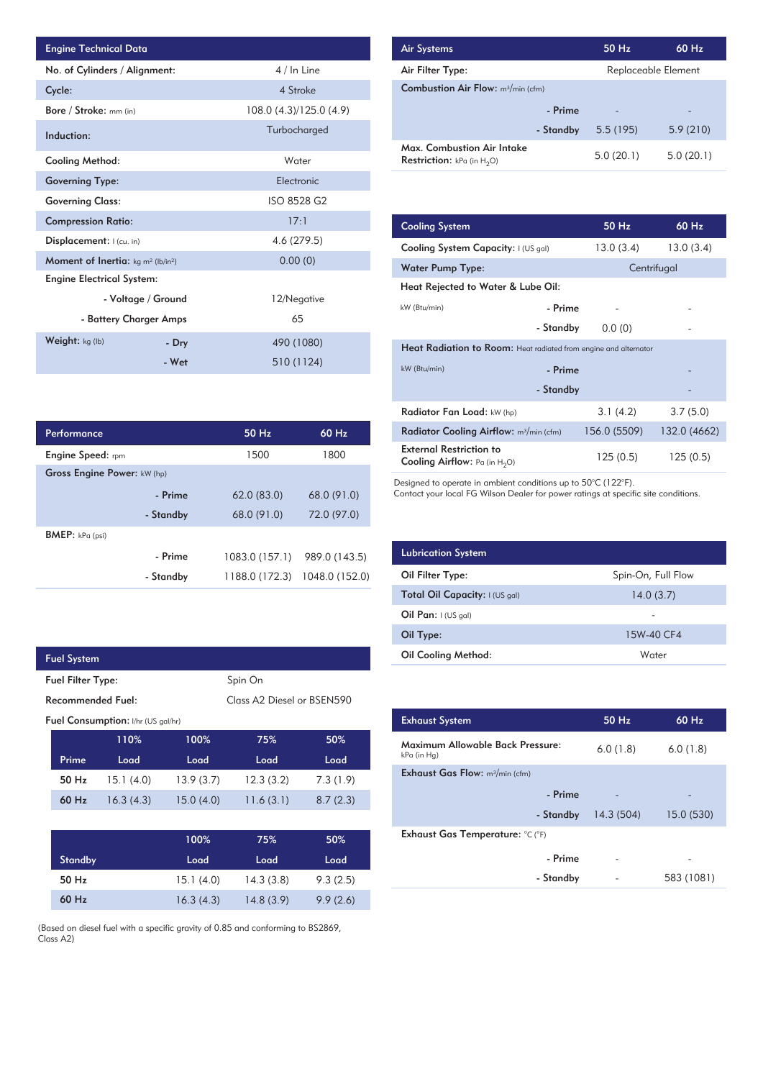| <b>Engine Technical Data</b>                                |                        |                         | <b>Air Systems</b>               |
|-------------------------------------------------------------|------------------------|-------------------------|----------------------------------|
| No. of Cylinders / Alignment:                               |                        | 4 / In Line             | Air Filter Ty                    |
| Cycle:                                                      |                        | 4 Stroke                | <b>Combustion</b>                |
| Bore / Stroke: mm (in)                                      |                        | 108.0 (4.3)/125.0 (4.9) |                                  |
| Induction:                                                  |                        | Turbocharged            |                                  |
| <b>Cooling Method:</b>                                      |                        | Water                   | Max. Comb<br><b>Restriction:</b> |
| <b>Governing Type:</b>                                      |                        | Electronic              |                                  |
| <b>Governing Class:</b>                                     |                        | ISO 8528 G2             |                                  |
| <b>Compression Ratio:</b>                                   |                        | 17:1                    | <b>Cooling Sys</b>               |
| Displacement: I (cu. in)                                    |                        | 4.6 (279.5)             | <b>Cooling Sys</b>               |
| <b>Moment of Inertia:</b> $kg \, m^2$ (lb/in <sup>2</sup> ) |                        | 0.00(0)                 | <b>Water Pum</b>                 |
| <b>Engine Electrical System:</b>                            |                        |                         | <b>Heat Reject</b>               |
|                                                             | - Voltage / Ground     | 12/Negative             | kW (Btu/min)                     |
|                                                             | - Battery Charger Amps | 65                      |                                  |
| Weight: kg (lb)                                             | - Dry                  | 490 (1080)              | <b>Heat Radia</b>                |
|                                                             | - Wet                  | 510 (1124)              | kW (Btu/min)                     |

| Performance                        |           | $50$ Hz        | 60 Hz          |
|------------------------------------|-----------|----------------|----------------|
| <b>Engine Speed:</b> rpm           |           | 1500           | 1800           |
| <b>Gross Engine Power: kW (hp)</b> |           |                |                |
|                                    | - Prime   | 62.0(83.0)     | 68.0 (91.0)    |
|                                    | - Standby | 68.0 (91.0)    | 72.0 (97.0)    |
| <b>BMEP:</b> $kPa$ (psi)           |           |                |                |
|                                    | - Prime   | 1083.0 (157.1) | 989.0 (143.5)  |
|                                    | - Standby | 1188.0 (172.3) | 1048.0 (152.0) |

| Fuel System                                                 |           |           |           |          |
|-------------------------------------------------------------|-----------|-----------|-----------|----------|
| Spin On<br><b>Fuel Filter Type:</b>                         |           |           |           |          |
| Recommended Fuel:<br>Class A <sub>2</sub> Diesel or BSEN590 |           |           |           |          |
| <b>Fuel Consumption:</b> I/hr (US gal/hr)                   |           |           |           |          |
|                                                             | 110%      | 100%      | 75%       | 50%      |
| Prime                                                       | Load      | Load      | Load      | Load     |
| 50 Hz                                                       | 15.1(4.0) | 13.9(3.7) | 12.3(3.2) | 7.3(1.9) |
| 60 Hz                                                       | 16.3(4.3) | 15.0(4.0) | 11.6(3.1) | 8.7(2.3) |

|                | 100%      | 75%       | 50%      |
|----------------|-----------|-----------|----------|
| <b>Standby</b> | Load      | Load      | Load     |
| $50$ Hz        | 15.1(4.0) | 14.3(3.8) | 9.3(2.5) |
| 60 Hz          | 16.3(4.3) | 14.8(3.9) | 9.9(2.6) |

(Based on diesel fuel with a specific gravity of 0.85 and conforming to BS2869, Class A2)

| <b>Air Systems</b>                                                 | 50 Hz     | $60$ Hz.            |  |
|--------------------------------------------------------------------|-----------|---------------------|--|
| Air Filter Type:                                                   |           | Replaceable Element |  |
| <b>Combustion Air Flow:</b> m <sup>3</sup> /min (cfm)              |           |                     |  |
| - Prime                                                            |           | -                   |  |
| - Standby                                                          | 5.5(195)  | 5.9(210)            |  |
| Max. Combustion Air Intake<br><b>Restriction:</b> kPa (in $H_2O$ ) | 5.0(20.1) | 5.0(20.1)           |  |

| 17:1           | <b>Cooling System</b>                                                     | $50$ Hz      | $60$ Hz      |
|----------------|---------------------------------------------------------------------------|--------------|--------------|
| 4.6 (279.5)    | Cooling System Capacity: I (US gal)                                       | 13.0(3.4)    | 13.0(3.4)    |
| 0.00(0)        | <b>Water Pump Type:</b>                                                   |              | Centrifugal  |
|                | Heat Rejected to Water & Lube Oil:                                        |              |              |
| 12/Negative    | kW (Btu/min)<br>- Prime                                                   |              |              |
| 65             | - Standby                                                                 | 0.0(0)       |              |
| 490 (1080)     | <b>Heat Radiation to Room:</b> Heat radiated from engine and alternator   |              |              |
| 510 (1124)     | kW (Btu/min)<br>- Prime                                                   |              |              |
|                | - Standby                                                                 |              |              |
|                | Radiator Fan Load: kW (hp)                                                | 3.1(4.2)     | 3.7(5.0)     |
| 60 Hz<br>50 Hz | Radiator Cooling Airflow: $m^3/m$ in (cfm)                                | 156.0 (5509) | 132.0 (4662) |
| 1800<br>1500   | <b>External Restriction to</b><br><b>Cooling Airflow:</b> Pa (in $H_2O$ ) | 125(0.5)     | 125(0.5)     |

Designed to operate in ambient conditions up to 50°C (122°F).

Contact your local FG Wilson Dealer for power ratings at specific site conditions.

| <b>Lubrication System</b>      |                    |
|--------------------------------|--------------------|
| Oil Filter Type:               | Spin-On, Full Flow |
| Total Oil Capacity: I (US gal) | 14.0(3.7)          |
| Oil Pan: $I (US gal)$          |                    |
| Oil Type:                      | 15W-40 CF4         |
| <b>Oil Cooling Method:</b>     | Water              |

| <b>Exhaust System</b>                           | 50 Hz     | $60$ Hz    |
|-------------------------------------------------|-----------|------------|
| Maximum Allowable Back Pressure:<br>kPa (in Hg) | 6.0(1.8)  | 6.0(1.8)   |
| <b>Exhaust Gas Flow:</b> $m^3/m$ in (cfm)       |           |            |
| - Prime                                         |           |            |
| - Standby                                       | 14.3(504) | 15.0(530)  |
| Exhaust Gas Temperature: °C (°F)                |           |            |
| - Prime                                         |           |            |
| - Standby                                       |           | 583 (1081) |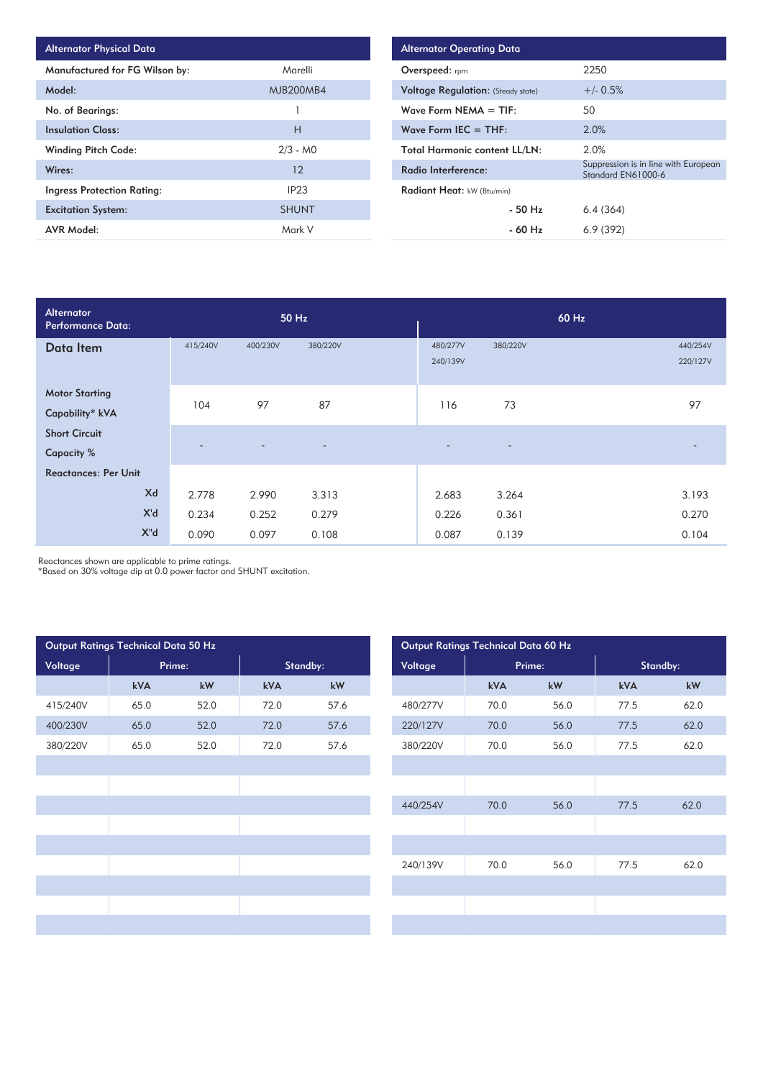| <b>Alternator Physical Data</b>   |                  |
|-----------------------------------|------------------|
| Manufactured for FG Wilson by:    | Marelli          |
| Model:                            | <b>MJB200MB4</b> |
| No. of Bearings:                  |                  |
| <b>Insulation Class:</b>          | Н                |
| <b>Winding Pitch Code:</b>        | $2/3 - MO$       |
| Wires:                            | 12               |
| <b>Ingress Protection Rating:</b> | IP <sub>23</sub> |
| <b>Excitation System:</b>         | <b>SHUNT</b>     |
| <b>AVR Model:</b>                 | Mark V           |

| <b>Alternator Operating Data</b>          |                                                            |  |  |  |  |  |  |
|-------------------------------------------|------------------------------------------------------------|--|--|--|--|--|--|
| Overspeed: rpm                            | 2250                                                       |  |  |  |  |  |  |
| <b>Voltage Regulation:</b> (Steady state) | $+/- 0.5%$                                                 |  |  |  |  |  |  |
| Wave Form NEMA $=$ TIF:                   | 50                                                         |  |  |  |  |  |  |
| Wave Form IEC $=$ THF:                    | 2.0%                                                       |  |  |  |  |  |  |
| <b>Total Harmonic content LL/LN:</b>      | 2.0%                                                       |  |  |  |  |  |  |
| Radio Interference:                       | Suppression is in line with European<br>Standard EN61000-6 |  |  |  |  |  |  |
| Radiant Heat: kW (Btu/min)                |                                                            |  |  |  |  |  |  |
| $-50$ Hz                                  | 6.4(364)                                                   |  |  |  |  |  |  |
| - 60 Hz                                   | 6.9(392)                                                   |  |  |  |  |  |  |

| Alternator<br>Performance Data:           |                          |                | 50 Hz                    | 60 Hz                    |                          |  |                          |  |
|-------------------------------------------|--------------------------|----------------|--------------------------|--------------------------|--------------------------|--|--------------------------|--|
| Data Item                                 | 415/240V                 | 400/230V       | 380/220V                 | 480/277V<br>240/139V     | 380/220V                 |  | 440/254V<br>220/127V     |  |
| <b>Motor Starting</b><br>Capability* kVA  | 104                      | 97             | 87                       | 116                      | 73                       |  | 97                       |  |
| <b>Short Circuit</b><br><b>Capacity %</b> | $\overline{\phantom{a}}$ | $\overline{a}$ | $\overline{\phantom{a}}$ | $\overline{\phantom{a}}$ | $\overline{\phantom{a}}$ |  | $\overline{\phantom{0}}$ |  |
| <b>Reactances: Per Unit</b>               |                          |                |                          |                          |                          |  |                          |  |
| Xd                                        | 2.778                    | 2.990          | 3.313                    | 2.683                    | 3.264                    |  | 3.193                    |  |
| X'd                                       | 0.234                    | 0.252          | 0.279                    | 0.226                    | 0.361                    |  | 0.270                    |  |
| $X^{\prime\prime}$ d                      | 0.090                    | 0.097          | 0.108                    | 0.087                    | 0.139                    |  | 0.104                    |  |

Reactances shown are applicable to prime ratings.

\*Based on 30% voltage dip at 0.0 power factor and SHUNT excitation.

| Output Ratings Technical Data 50 Hz |      |          |      |         |          |        | Output Ratings Technical Data 60 Hz |      |
|-------------------------------------|------|----------|------|---------|----------|--------|-------------------------------------|------|
| Voltage<br>Prime:                   |      | Standby: |      | Voltage |          | Prime: | Standby:                            |      |
|                                     | kVA  | kW       | kVA  | kW      |          | kVA    | kW                                  | kVA  |
| 415/240V                            | 65.0 | 52.0     | 72.0 | 57.6    | 480/277V | 70.0   | 56.0                                | 77.5 |
| 400/230V                            | 65.0 | 52.0     | 72.0 | 57.6    | 220/127V | 70.0   | 56.0                                | 77.5 |
| 380/220V                            | 65.0 | 52.0     | 72.0 | 57.6    | 380/220V | 70.0   | 56.0                                | 77.5 |
|                                     |      |          |      |         |          |        |                                     |      |
|                                     |      |          |      |         |          |        |                                     |      |
|                                     |      |          |      |         | 440/254V | 70.0   | 56.0                                | 77.5 |
|                                     |      |          |      |         |          |        |                                     |      |
|                                     |      |          |      |         |          |        |                                     |      |
|                                     |      |          |      |         | 240/139V | 70.0   | 56.0                                | 77.5 |
|                                     |      |          |      |         |          |        |                                     |      |
|                                     |      |          |      |         |          |        |                                     |      |
|                                     |      |          |      |         |          |        |                                     |      |